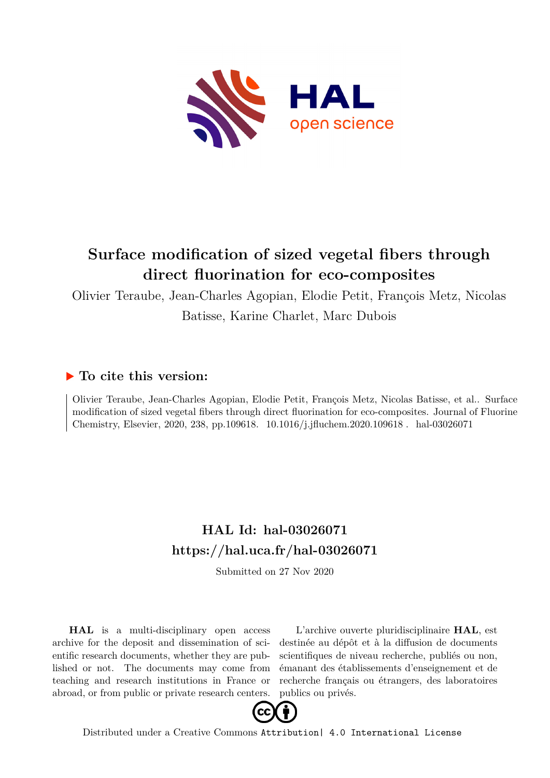

### **Surface modification of sized vegetal fibers through direct fluorination for eco-composites**

Olivier Teraube, Jean-Charles Agopian, Elodie Petit, François Metz, Nicolas

Batisse, Karine Charlet, Marc Dubois

#### **To cite this version:**

Olivier Teraube, Jean-Charles Agopian, Elodie Petit, François Metz, Nicolas Batisse, et al.. Surface modification of sized vegetal fibers through direct fluorination for eco-composites. Journal of Fluorine Chemistry, Elsevier, 2020, 238, pp.109618. 10.1016/j.jfluchem.2020.109618. hal-03026071

#### **HAL Id: hal-03026071 <https://hal.uca.fr/hal-03026071>**

Submitted on 27 Nov 2020

**HAL** is a multi-disciplinary open access archive for the deposit and dissemination of scientific research documents, whether they are published or not. The documents may come from teaching and research institutions in France or abroad, or from public or private research centers.

L'archive ouverte pluridisciplinaire **HAL**, est destinée au dépôt et à la diffusion de documents scientifiques de niveau recherche, publiés ou non, émanant des établissements d'enseignement et de recherche français ou étrangers, des laboratoires publics ou privés.



Distributed under a Creative Commons [Attribution| 4.0 International License](http://creativecommons.org/licenses/by/4.0/)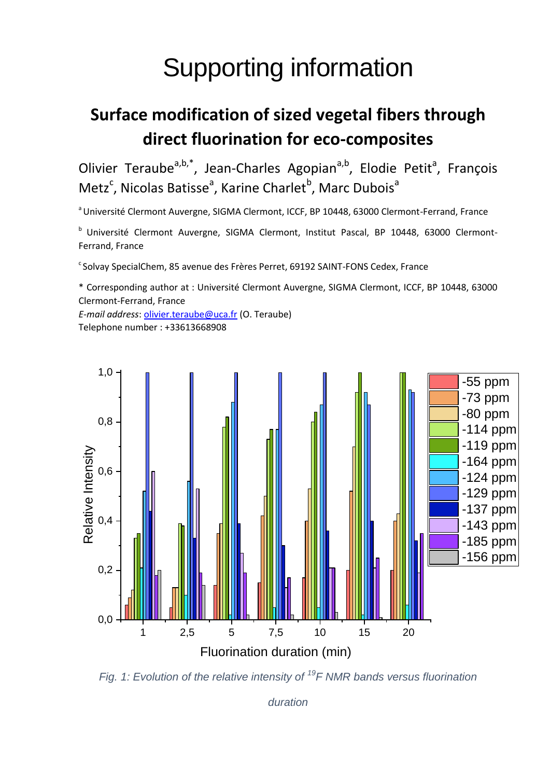# Supporting information

## **Surface modification of sized vegetal fibers through direct fluorination for eco-composites**

Olivier Teraube<sup>a,b,\*</sup>, Jean-Charles Agopian<sup>a,b</sup>, Elodie Petit<sup>a</sup>, François Metz<sup>c</sup>, Nicolas Batisse<sup>a</sup>, Karine Charlet<sup>b</sup>, Marc Dubois<sup>a</sup>

<sup>a</sup> Université Clermont Auvergne, SIGMA Clermont, ICCF, BP 10448, 63000 Clermont-Ferrand, France

<sup>b</sup> Université Clermont Auvergne, SIGMA Clermont, Institut Pascal, BP 10448, 63000 Clermont-Ferrand, France

<sup>c</sup> Solvay SpecialChem, 85 avenue des Frères Perret, 69192 SAINT-FONS Cedex, France

\* Corresponding author at : Université Clermont Auvergne, SIGMA Clermont, ICCF, BP 10448, 63000 Clermont-Ferrand, France

*E-mail address*[: olivier.teraube@uca.fr](mailto:olivier.teraube@uca.fr) (O. Teraube) Telephone number : +33613668908



<span id="page-1-0"></span>*Fig. 1: Evolution of the relative intensity of <sup>19</sup>F NMR bands versus fluorination* 

*duration*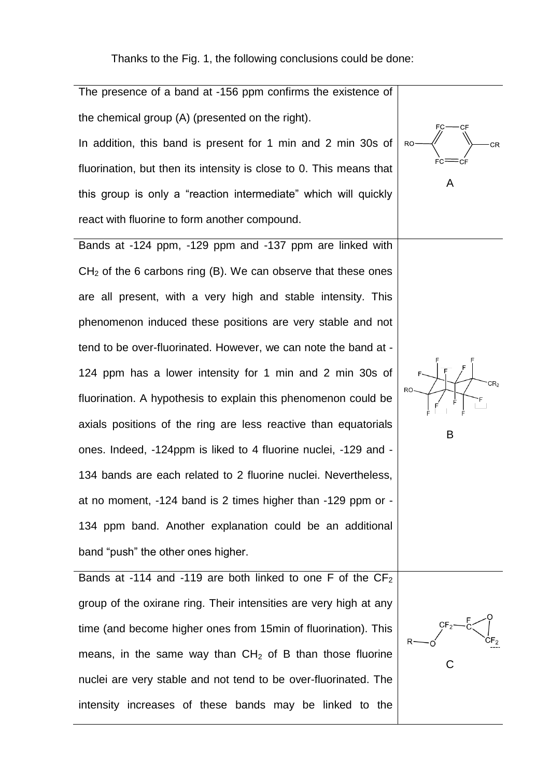Thanks to the [Fig. 1,](#page-1-0) the following conclusions could be done:

A

B

C

The presence of a band at -156 ppm confirms the existence of the chemical group (A) (presented on the right). In addition, this band is present for 1 min and 2 min 30s of fluorination, but then its intensity is close to 0. This means that this group is only a "reaction intermediate" which will quickly react with fluorine to form another compound.

Bands at -124 ppm, -129 ppm and -137 ppm are linked with  $CH<sub>2</sub>$  of the 6 carbons ring (B). We can observe that these ones are all present, with a very high and stable intensity. This phenomenon induced these positions are very stable and not tend to be over-fluorinated. However, we can note the band at - 124 ppm has a lower intensity for 1 min and 2 min 30s of fluorination. A hypothesis to explain this phenomenon could be axials positions of the ring are less reactive than equatorials ones. Indeed, -124ppm is liked to 4 fluorine nuclei, -129 and - 134 bands are each related to 2 fluorine nuclei. Nevertheless, at no moment, -124 band is 2 times higher than -129 ppm or - 134 ppm band. Another explanation could be an additional band "push" the other ones higher.

Bands at -114 and -119 are both linked to one F of the  $CF<sub>2</sub>$ group of the oxirane ring. Their intensities are very high at any time (and become higher ones from 15min of fluorination). This means, in the same way than  $CH<sub>2</sub>$  of B than those fluorine nuclei are very stable and not tend to be over-fluorinated. The intensity increases of these bands may be linked to the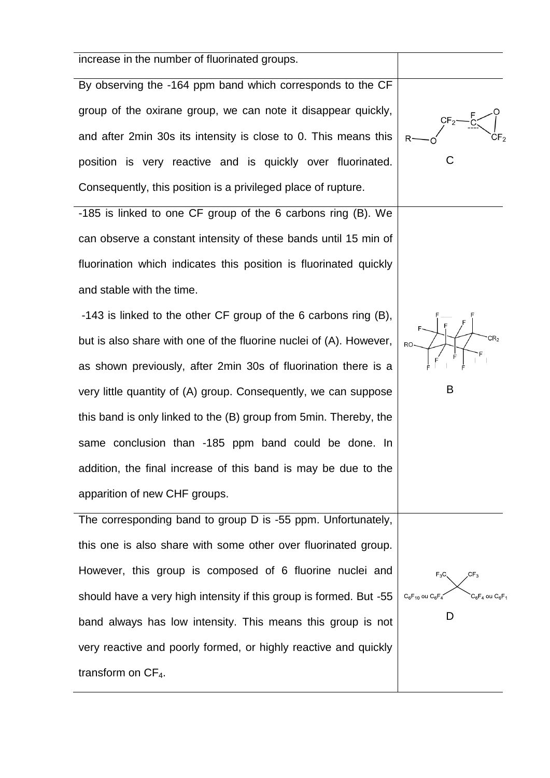| increase in the number of fluorinated groups.                      |                                                 |
|--------------------------------------------------------------------|-------------------------------------------------|
| By observing the -164 ppm band which corresponds to the CF         |                                                 |
| group of the oxirane group, we can note it disappear quickly,      |                                                 |
| and after 2min 30s its intensity is close to 0. This means this    |                                                 |
| position is very reactive and is quickly over fluorinated.         |                                                 |
| Consequently, this position is a privileged place of rupture.      |                                                 |
| -185 is linked to one CF group of the 6 carbons ring (B). We       |                                                 |
| can observe a constant intensity of these bands until 15 min of    |                                                 |
| fluorination which indicates this position is fluorinated quickly  |                                                 |
| and stable with the time.                                          |                                                 |
| -143 is linked to the other CF group of the 6 carbons ring (B),    |                                                 |
| but is also share with one of the fluorine nuclei of (A). However, | RO-                                             |
| as shown previously, after 2min 30s of fluorination there is a     |                                                 |
| very little quantity of (A) group. Consequently, we can suppose    | B                                               |
| this band is only linked to the (B) group from 5 min. Thereby, the |                                                 |
| same conclusion than -185 ppm band could be done. In               |                                                 |
| addition, the final increase of this band is may be due to the     |                                                 |
| apparition of new CHF groups.                                      |                                                 |
| The corresponding band to group D is -55 ppm. Unfortunately,       |                                                 |
| this one is also share with some other over fluorinated group.     |                                                 |
| However, this group is composed of 6 fluorine nuclei and           | CF <sub>3</sub><br>$F_3C$                       |
| should have a very high intensity if this group is formed. But -55 | $C_6F_{10}$ ou $C_6F_4$<br>$C_6F_4$ ou $C_6F_4$ |
| band always has low intensity. This means this group is not        | D                                               |

very reactive and poorly formed, or highly reactive and quickly

transform on  $CF_4$ .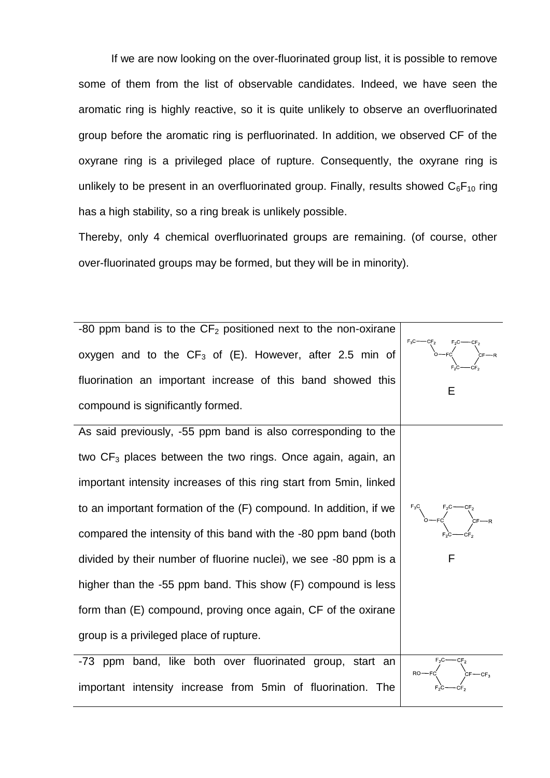If we are now looking on the over-fluorinated group list, it is possible to remove some of them from the list of observable candidates. Indeed, we have seen the aromatic ring is highly reactive, so it is quite unlikely to observe an overfluorinated group before the aromatic ring is perfluorinated. In addition, we observed CF of the oxyrane ring is a privileged place of rupture. Consequently, the oxyrane ring is unlikely to be present in an overfluorinated group. Finally, results showed  $C_6F_{10}$  ring has a high stability, so a ring break is unlikely possible.

Thereby, only 4 chemical overfluorinated groups are remaining. (of course, other over-fluorinated groups may be formed, but they will be in minority).



important intensity increase from 5min of fluorination. The